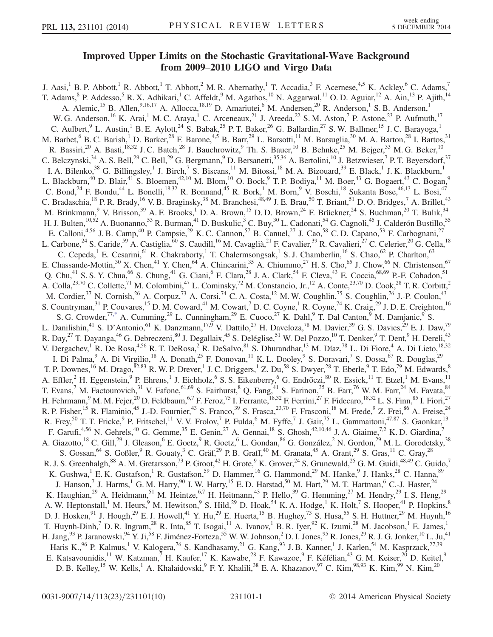## Improved Upper Limits on the Stochastic Gravitational-Wave Background from 2009–2010 LIGO and Virgo Data

<span id="page-0-0"></span>J. Aasi,<sup>1</sup> B. P. Abbott,<sup>1</sup> R. Abbott,<sup>1</sup> T. Abbott,<sup>2</sup> M. R. Abernathy,<sup>1</sup> T. Accadia,<sup>3</sup> F. Acernese,<sup>4,5</sup> K. Ackley,<sup>6</sup> C. Adams,<sup>7</sup> T. Adams,  $8$  P. Addesso,  $5$  R. X. Adhikari,  $1$  C. Affeldt,  $9$  M. Agathos,  $10$  N. Aggarwal,  $11$  O. D. Aguiar,  $12$  A. Ain,  $13$  P. Ajith,  $14$ A. Alemic,<sup>15</sup> B. Allen,<sup>9,16,17</sup> A. Allocca,<sup>18,19</sup> D. Amariutei,<sup>6</sup> M. Andersen,<sup>20</sup> R. Anderson,<sup>1</sup> S. B. Anderson,<sup>1</sup> W. G. Anderson, <sup>16</sup> K. Arai,<sup>1</sup> M. C. Araya,<sup>1</sup> C. Arceneaux, <sup>21</sup> J. Areeda, <sup>22</sup> S. M. Aston,<sup>7</sup> P. Astone, <sup>23</sup> P. Aufmuth, <sup>17</sup> C. Aulbert, <sup>9</sup> L. Austin,<sup>1</sup> B. E. Aylott,<sup>24</sup> S. Babak,<sup>25</sup> P. T. Baker,<sup>26</sup> G. Ballardin,<sup>27</sup> S. W. Ballmer,<sup>15</sup> J. C. Barayoga,<sup>1</sup> M. Barbet,  $6$  B. C. Barish,  $1$  D. Barker,  $28$  F. Barone,  $4.5$  B. Barr,  $29$  L. Barsotti,  $11$  M. Barsuglia,  $30$  M. A. Barton,  $28$  I. Bartos,  $31$ R. Bassiri,<sup>20</sup> A. Basti,<sup>18,32</sup> J. C. Batch,<sup>28</sup> J. Bauchrowitz,<sup>9</sup> Th. S. Bauer,<sup>10</sup> B. Behnke,<sup>25</sup> M. Bejger,<sup>33</sup> M. G. Beker,<sup>10</sup> C. Belczynski,  $34$  A. S. Bell,  $29$  C. Bell,  $29$  G. Bergmann,  $9$  D. Bersanetti,  $35,36$  A. Bertolini,  $10$  J. Betzwieser,  $7$  P. T. Beyersdorf,  $37$ I. A. Bilenko,<sup>38</sup> G. Billingsley,<sup>1</sup> J. Birch,<sup>7</sup> S. Biscans,<sup>11</sup> M. Bitossi,<sup>18</sup> M. A. Bizouard,<sup>39</sup> E. Black,<sup>1</sup> J. K. Blackburn,<sup>1</sup> L. Blackburn,<sup>40</sup> D. Blair,<sup>41</sup> S. Bloemen,<sup>42,10</sup> M. Blom,<sup>10</sup> O. Bock,<sup>9</sup> T. P. Bodiya,<sup>11</sup> M. Boer,<sup>43</sup> G. Bogaert,<sup>43</sup> C. Bogan,<sup>9</sup> C. Bond,<sup>24</sup> F. Bondu,<sup>44</sup> L. Bonelli,<sup>18,32</sup> R. Bonnand,<sup>45</sup> R. Bork,<sup>1</sup> M. Born,<sup>9</sup> V. Boschi,<sup>18</sup> Sukanta Bose,<sup>46,13</sup> L. Bosi,<sup>47</sup> C. Bradaschia, <sup>18</sup> P. R. Brady, <sup>16</sup> V. B. Braginsky, <sup>38</sup> M. Branchesi, <sup>48,49</sup> J. E. Brau, <sup>50</sup> T. Briant, <sup>51</sup> D. O. Bridges, <sup>7</sup> A. Brillet, <sup>43</sup> M. Brinkmann, <sup>9</sup> V. Brisson, <sup>39</sup> A. F. Brooks, <sup>1</sup> D. A. Brown, <sup>15</sup> D. D. Brown, <sup>24</sup> F. Brückner, <sup>24</sup> S. Buchman, <sup>20</sup> T. Bulik, <sup>34</sup> H. J. Bulten,  $^{10,52}$  A. Buonanno,  $^{53}$  R. Burman,  $^{41}$  D. Buskulic,  $^3$  C. Buy,  $^{30}$  L. Cadonati,  $^{54}$  G. Cagnoli,  $^{45}$  J. Calderón Bustillo,  $^{55}$ E. Calloni,<sup>4,56</sup> J. B. Camp,<sup>40</sup> P. Campsie,<sup>29</sup> K. C. Cannon,<sup>57</sup> B. Canuel,<sup>27</sup> J. Cao,<sup>58</sup> C. D. Capano,<sup>53</sup> F. Carbognani,<sup>27</sup> L. Carbone,<sup>24</sup> S. Caride,<sup>59</sup> A. Castiglia,<sup>60</sup> S. Caudill,<sup>16</sup> M. Cavaglià,<sup>21</sup> F. Cavalier,<sup>39</sup> R. Cavalieri,<sup>27</sup> C. Celerier,<sup>20</sup> G. Cella,<sup>18</sup> C. Cepeda,<sup>1</sup> E. Cesarini,<sup>61</sup> R. Chakraborty,<sup>1</sup> T. Chalermsongsak,<sup>1</sup> S. J. Chamberlin,<sup>16</sup> S. Chao,<sup>62</sup> P. Charlton,<sup>63</sup> E. Chassande-Mottin,<sup>30</sup> X. Chen,<sup>41</sup> Y. Chen,<sup>64</sup> A. Chincarini,<sup>35</sup> A. Chiummo,<sup>27</sup> H. S. Cho,<sup>65</sup> J. Chow,<sup>66</sup> N. Christensen,<sup>67</sup> Q. Chu,<sup>41</sup> S. S. Y. Chua,<sup>66</sup> S. Chung,<sup>41</sup> G. Ciani,<sup>6</sup> F. Clara,<sup>28</sup> J. A. Clark,<sup>54</sup> F. Cleva,<sup>43</sup> E. Coccia,<sup>68,69</sup> P.-F. Cohadon,<sup>51</sup> A. Colla,<sup>23,70</sup> C. Collette,<sup>71</sup> M. Colombini,<sup>47</sup> L. Cominsky,<sup>72</sup> M. Constancio, Jr.,<sup>12</sup> A. Conte,<sup>23,70</sup> D. Cook,<sup>28</sup> T. R. Corbitt,<sup>2</sup> M. Cordier,<sup>37</sup> N. Cornish,<sup>26</sup> A. Corpuz,<sup>73</sup> A. Corsi,<sup>74</sup> C. A. Costa,<sup>12</sup> M. W. Coughlin,<sup>75</sup> S. Coughlin,<sup>76</sup> J.-P. Coulon,<sup>43</sup> S. Countryman,<sup>31</sup> P. Couvares,<sup>15</sup> D. M. Coward,<sup>41</sup> M. Cowart,<sup>7</sup> D. C. Coyne,<sup>1</sup> R. Coyne,<sup>74</sup> K. Craig,<sup>29</sup> J. D. E. Creighton,<sup>16</sup> S. G. Crowder,<sup>7[7,\\*](#page-9-0)</sup> A. Cumming,<sup>29</sup> L. Cunningham,<sup>29</sup> E. Cuoco,<sup>27</sup> K. Dahl,<sup>9</sup> T. Dal Canton,<sup>9</sup> M. Damjanic,<sup>9</sup> S. L. Danilishin,<sup>41</sup> S. D'Antonio,<sup>61</sup> K. Danzmann,<sup>17,9</sup> V. Dattilo,<sup>27</sup> H. Daveloza,<sup>78</sup> M. Davier,<sup>39</sup> G. S. Davies,<sup>29</sup> E. J. Daw,<sup>79</sup> R. Day,<sup>27</sup> T. Dayanga,<sup>46</sup> G. Debreczeni,<sup>80</sup> J. Degallaix,<sup>45</sup> S. Deléglise,<sup>51</sup> W. Del Pozzo,<sup>10</sup> T. Denker,<sup>9</sup> T. Dent,<sup>9</sup> H. Dereli,<sup>43</sup> V. Dergachev,<sup>1</sup> R. De Rosa,<sup>4,56</sup> R. T. DeRosa,<sup>2</sup> R. DeSalvo,<sup>81</sup> S. Dhurandhar,<sup>13</sup> M. Díaz,<sup>78</sup> L. Di Fiore,<sup>4</sup> A. Di Lieto,<sup>18,32</sup> I. Di Palma,<sup>9</sup> A. Di Virgilio,<sup>18</sup> A. Donath,<sup>25</sup> F. Donovan,<sup>11</sup> K. L. Dooley,<sup>9</sup> S. Doravari,<sup>7</sup> S. Dossa,<sup>67</sup> R. Douglas,<sup>29</sup> T. P. Downes,  $^{16}$  M. Drago,  $^{82,83}$  R. W. P. Drever, 1 J. C. Driggers, 1 Z. Du,  $^{58}$  S. Dwyer,  $^{28}$  T. Eberle,  $^{9}$  T. Edo,  $^{79}$  M. Edwards,  $^{8}$ A. Effler,<sup>2</sup> H. Eggenstein,<sup>9</sup> P. Ehrens,<sup>1</sup> J. Eichholz,<sup>6</sup> S. S. Eikenberry,<sup>6</sup> G. Endrőczi,<sup>80</sup> R. Essick,<sup>11</sup> T. Etzel,<sup>1</sup> M. Evans,<sup>11</sup> T. Evans,<sup>7</sup> M. Factourovich,<sup>31</sup> V. Fafone,<sup>61,69</sup> S. Fairhurst,<sup>8</sup> Q. Fang,<sup>41</sup> S. Farinon,<sup>35</sup> B. Farr,<sup>76</sup> W. M. Farr,<sup>24</sup> M. Favata,<sup>84</sup> H. Fehrmann,<sup>9</sup> M. M. Fejer,<sup>20</sup> D. Feldbaum,<sup>6,7</sup> F. Feroz,<sup>75</sup> I. Ferrante,<sup>18,32</sup> F. Ferrini,<sup>27</sup> F. Fidecaro,<sup>18,32</sup> L. S. Finn,<sup>85</sup> I. Fiori,<sup>27</sup> R. P. Fisher,<sup>15</sup> R. Flaminio,<sup>45</sup> J.-D. Fournier,<sup>43</sup> S. Franco,<sup>39</sup> S. Frasca,<sup>23,70</sup> F. Frasconi,<sup>18</sup> M. Frede,<sup>9</sup> Z. Frei,<sup>86</sup> A. Freise,<sup>24</sup> R. Frey,<sup>50</sup> T. T. Fricke,<sup>9</sup> P. Fritschel,<sup>11</sup> V. V. Frolov,<sup>7</sup> P. Fulda,<sup>6</sup> M. Fyffe,<sup>7</sup> J. Gair,<sup>75</sup> L. Gammaitoni,<sup>47,87</sup> S. Gaonkar,<sup>13</sup> F. Garufi,<sup>4,56</sup> N. Gehrels,<sup>40</sup> G. Gemme,<sup>35</sup> E. Genin,<sup>27</sup> A. Gennai,<sup>18</sup> S. Ghosh,<sup>42,10,46</sup> J. A. Giaime,<sup>7,2</sup> K. D. Giardina,<sup>7</sup> A. Giazotto,<sup>18</sup> C. Gill,<sup>29</sup> J. Gleason,<sup>6</sup> E. Goetz,<sup>9</sup> R. Goetz,<sup>6</sup> L. Gondan,<sup>86</sup> G. González,<sup>2</sup> N. Gordon,<sup>29</sup> M. L. Gorodetsky,<sup>38</sup> S. Gossan, <sup>64</sup> S. Goßler, <sup>9</sup> R. Gouaty, <sup>3</sup> C. Gräf, <sup>29</sup> P. B. Graff, <sup>40</sup> M. Granata, <sup>45</sup> A. Grant, <sup>29</sup> S. Gras, <sup>11</sup> C. Gray, <sup>28</sup> R. J. S. Greenhalgh,  $^{88}$  A. M. Gretarsson,  $^{73}$  P. Groot,  $^{42}$  H. Grote,  $^{9}$  K. Grover,  $^{24}$  S. Grunewald,  $^{25}$  G. M. Guidi,  $^{48,49}$  C. Guido,  $^{7}$ K. Gushwa, <sup>1</sup> E. K. Gustafson, <sup>1</sup> R. Gustafson, <sup>59</sup> D. Hammer, <sup>16</sup> G. Hammond, <sup>29</sup> M. Hanke, <sup>9</sup> J. Hanks, <sup>28</sup> C. Hanna, <sup>89</sup> J. Hanson,<sup>7</sup> J. Harms,<sup>1</sup> G. M. Harry,<sup>90</sup> I. W. Harry,<sup>15</sup> E. D. Harstad,<sup>50</sup> M. Hart,<sup>29</sup> M. T. Hartman,<sup>6</sup> C.-J. Haster,<sup>24</sup> K. Haughian,<sup>29</sup> A. Heidmann,<sup>51</sup> M. Heintze,<sup>6,7</sup> H. Heitmann,<sup>43</sup> P. Hello,<sup>39</sup> G. Hemming,<sup>27</sup> M. Hendry,<sup>29</sup> I. S. Heng,<sup>29</sup> A. W. Heptonstall,<sup>1</sup> M. Heurs,<sup>9</sup> M. Hewitson,<sup>9</sup> S. Hild,<sup>29</sup> D. Hoak,<sup>54</sup> K. A. Hodge,<sup>1</sup> K. Holt,<sup>7</sup> S. Hooper,<sup>41</sup> P. Hopkins,<sup>8</sup> D. J. Hosken,  $91$  J. Hough,  $29$  E. J. Howell,  $41$  Y. Hu,  $29$  E. Huerta,  $15$  B. Hughey,  $73$  S. Husa,  $55$  S. H. Huttner,  $29$  M. Huynh,  $16$ T. Huynh-Dinh,<sup>7</sup> D. R. Ingram,<sup>28</sup> R. Inta,<sup>85</sup> T. Isogai,<sup>11</sup> A. Ivanov,<sup>1</sup> B. R. Iyer,<sup>92</sup> K. Izumi,<sup>28</sup> M. Jacobson,<sup>1</sup> E. James,<sup>1</sup> H. Jang,  $93$  P. Jaranowski,  $94$  Y. Ji,  $58$  F. Jiménez-Forteza,  $55$  W. W. Johnson,  $2$  D. I. Jones,  $95$  R. Jones,  $29$  R. J. G. Jonker,  $10$  L. Ju,  $41$ Haris K.,<sup>96</sup> P. Kalmus,<sup>1</sup> V. Kalogera,<sup>76</sup> S. Kandhasamy,<sup>21</sup> G. Kang,<sup>93</sup> J. B. Kanner,<sup>1</sup> J. Karlen,<sup>54</sup> M. Kasprzack,<sup>27,39</sup> E. Katsavounidis,<sup>11</sup> W. Katzman,<sup>7</sup> H. Kaufer,<sup>17</sup> K. Kawabe,<sup>28</sup> F. Kawazoe,<sup>9</sup> F. Kéfélian,<sup>43</sup> G. M. Keiser,<sup>20</sup> D. Keitel,<sup>9</sup> D. B. Kelley,<sup>15</sup> W. Kells,<sup>1</sup> A. Khalaidovski,<sup>9</sup> F. Y. Khalili,<sup>38</sup> E. A. Khazanov,<sup>97</sup> C. Kim,<sup>98,93</sup> K. Kim,<sup>99</sup> N. Kim,<sup>20</sup>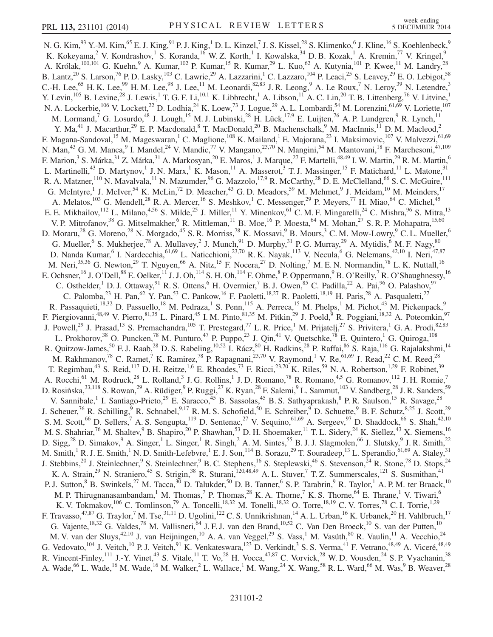N. G. Kim, $^{93}$  Y.-M. Kim, $^{65}$  E. J. King, $^{91}$  P. J. King, $^{1}$  D. L. Kinzel, $^{7}$  J. S. Kissel, $^{28}$  S. Klimenko, $^{6}$  J. Kline, $^{16}$  S. Koehlenbeck, $^{9}$ K. Kokeyama,<sup>2</sup> V. Kondrashov,<sup>1</sup> S. Koranda,<sup>16</sup> W. Z. Korth,<sup>1</sup> I. Kowalska,<sup>34</sup> D. B. Kozak,<sup>1</sup> A. Kremin,<sup>77</sup> V. Kringel,<sup>9</sup> A. Królak,<sup>100,101</sup> G. Kuehn,<sup>9</sup> A. Kumar,<sup>102</sup> P. Kumar,<sup>15</sup> R. Kumar,<sup>29</sup> L. Kuo,<sup>62</sup> A. Kutynia,<sup>101</sup> P. Kwee,<sup>11</sup> M. Landry,<sup>28</sup> B. Lantz,  $^{20}$  S. Larson,  $^{76}$  P. D. Lasky,  $^{103}$  C. Lawrie,  $^{29}$  A. Lazzarini,  $^{1}$  C. Lazzaro,  $^{104}$  P. Leaci,  $^{25}$  S. Leavey,  $^{29}$  E. O. Lebigot,  $^{58}$ C.-H. Lee,<sup>65</sup> H. K. Lee,<sup>99</sup> H. M. Lee,<sup>98</sup> J. Lee,<sup>11</sup> M. Leonardi,<sup>82,83</sup> J. R. Leong,<sup>9</sup> A. Le Roux,<sup>7</sup> N. Leroy,<sup>39</sup> N. Letendre,<sup>3</sup> Y. Levin,  $^{105}$  B. Levine,  $^{28}$  J. Lewis,  $^{1}$  T. G. F. Li,  $^{10,1}$  K. Libbrecht,  $^{1}$  A. Libson,  $^{11}$  A. C. Lin,  $^{20}$  T. B. Littenberg,  $^{76}$  V. Litvine,  $^{1}$ N. A. Lockerbie,<sup>106</sup> V. Lockett,<sup>22</sup> D. Lodhia,<sup>24</sup> K. Loew,<sup>73</sup> J. Logue,<sup>29</sup> A. L. Lombardi,<sup>54</sup> M. Lorenzini,<sup>61,69</sup> V. Loriette,<sup>107</sup> M. Lormand,<sup>7</sup> G. Losurdo,<sup>48</sup> J. Lough,<sup>15</sup> M. J. Lubinski,<sup>28</sup> H. Lück,<sup>17,9</sup> E. Luijten,<sup>76</sup> A. P. Lundgren,<sup>9</sup> R. Lynch,<sup>11</sup> Y. Ma,<sup>41</sup> J. Macarthur,<sup>29</sup> E. P. Macdonald,<sup>8</sup> T. MacDonald,<sup>20</sup> B. Machenschalk,<sup>9</sup> M. MacInnis,<sup>11</sup> D. M. Macleod,<sup>2</sup> F. Magana-Sandoval,<sup>15</sup> M. Mageswaran,<sup>1</sup> C. Maglione,<sup>108</sup> K. Mailand,<sup>1</sup> E. Majorana,<sup>23</sup> I. Maksimovic,<sup>107</sup> V. Malvezzi,<sup>61,69</sup> N. Man,<sup>43</sup> G. M. Manca,<sup>9</sup> I. Mandel,<sup>24</sup> V. Mandic,<sup>77</sup> V. Mangano,<sup>23,70</sup> N. Mangini,<sup>54</sup> M. Mantovani,<sup>18</sup> F. Marchesoni,<sup>47,109</sup> F. Marion,<sup>3</sup> S. Márka,<sup>31</sup> Z. Márka,<sup>31</sup> A. Markosyan,<sup>20</sup> E. Maros,<sup>1</sup> J. Marque,<sup>27</sup> F. Martelli,<sup>48,49</sup> I. W. Martin,<sup>29</sup> R. M. Martin,<sup>6</sup> L. Martinelli,<sup>43</sup> D. Martynov,<sup>1</sup> J. N. Marx,<sup>1</sup> K. Mason,<sup>11</sup> A. Masserot,<sup>3</sup> T. J. Massinger,<sup>15</sup> F. Matichard,<sup>11</sup> L. Matone,<sup>31</sup> R. A. Matzner,<sup>110</sup> N. Mavalvala,<sup>11</sup> N. Mazumder,<sup>96</sup> G. Mazzolo,<sup>17,9</sup> R. McCarthy,<sup>28</sup> D. E. McClelland,<sup>66</sup> S. C. McGuire,<sup>111</sup> G. McIntyre,<sup>1</sup> J. McIver,<sup>54</sup> K. McLin,<sup>72</sup> D. Meacher,<sup>43</sup> G. D. Meadors,<sup>59</sup> M. Mehmet,<sup>9</sup> J. Meidam,<sup>10</sup> M. Meinders,<sup>17</sup> A. Melatos,<sup>103</sup> G. Mendell,<sup>28</sup> R. A. Mercer,<sup>16</sup> S. Meshkov,<sup>1</sup> C. Messenger,<sup>29</sup> P. Meyers,<sup>77</sup> H. Miao,<sup>64</sup> C. Michel,<sup>45</sup> E. E. Mikhailov,  $^{112}$  L. Milano,  $^{4,56}$  S. Milde,  $^{25}$  J. Miller,  $^{11}$  Y. Minenkov,  $^{61}$  C. M. F. Mingarelli,  $^{24}$  C. Mishra,  $^{96}$  S. Mitra,  $^{13}$ V. P. Mitrofanov,<sup>38</sup> G. Mitselmakher,<sup>6</sup> R. Mittleman,<sup>11</sup> B. Moe,<sup>16</sup> P. Moesta,<sup>64</sup> M. Mohan,<sup>27</sup> S. R. P. Mohapatra,<sup>15,60</sup> D. Moraru,<sup>28</sup> G. Moreno,<sup>28</sup> N. Morgado,<sup>45</sup> S. R. Morriss,<sup>78</sup> K. Mossavi,<sup>9</sup> B. Mours,<sup>3</sup> C. M. Mow-Lowry,<sup>9</sup> C. L. Mueller,<sup>6</sup> G. Mueller, <sup>6</sup> S. Mukherjee, <sup>78</sup> A. Mullavey, <sup>2</sup> J. Munch, <sup>91</sup> D. Murphy, <sup>31</sup> P. G. Murray, <sup>29</sup> A. Mytidis, <sup>6</sup> M. F. Nagy, <sup>80</sup> D. Nanda Kumar, <sup>6</sup> I. Nardecchia, <sup>61,69</sup> L. Naticchioni, <sup>23,70</sup> R. K. Nayak, <sup>113</sup> V. Necula, <sup>6</sup> G. Nelemans, <sup>42,10</sup> I. Neri, <sup>47,87</sup> M. Neri,<sup>35,36</sup> G. Newton,<sup>29</sup> T. Nguyen,<sup>66</sup> A. Nitz,<sup>15</sup> F. Nocera,<sup>27</sup> D. Nolting,<sup>7</sup> M. E. N. Normandin,<sup>78</sup> L. K. Nuttall,<sup>16</sup> E. Ochsner,  $^{16}$  J. O'Dell, $^{88}$  E. Oelker,  $^{11}$  J. J. Oh,  $^{114}$  S. H. Oh,  $^{114}$  F. Ohme,  $^{8}$  P. Oppermann,  $^{9}$  B. O'Reilly,  $^{7}$  R. O'Shaughnessy,  $^{16}$ C. Osthelder,<sup>1</sup> D. J. Ottaway,<sup>91</sup> R. S. Ottens,<sup>6</sup> H. Overmier,<sup>7</sup> B. J. Owen,<sup>85</sup> C. Padilla,<sup>22</sup> A. Pai,<sup>96</sup> O. Palashov,<sup>97</sup> C. Palomba,<sup>23</sup> H. Pan,<sup>62</sup> Y. Pan,<sup>53</sup> C. Pankow,<sup>16</sup> F. Paoletti,<sup>18,27</sup> R. Paoletti,<sup>18,19</sup> H. Paris,<sup>28</sup> A. Pasqualetti,<sup>27</sup> R. Passaquieti,<sup>18,32</sup> D. Passuello,<sup>18</sup> M. Pedraza,<sup>1</sup> S. Penn,<sup>115</sup> A. Perreca,<sup>15</sup> M. Phelps,<sup>1</sup> M. Pichot,<sup>43</sup> M. Pickenpack,<sup>9</sup> F. Piergiovanni,<sup>48,49</sup> V. Pierro,<sup>81,35</sup> L. Pinard,<sup>45</sup> I. M. Pinto,<sup>81,35</sup> M. Pitkin,<sup>29</sup> J. Poeld,<sup>9</sup> R. Poggiani,<sup>18,32</sup> A. Poteomkin,<sup>97</sup> J. Powell,<sup>29</sup> J. Prasad,<sup>13</sup> S. Premachandra,<sup>105</sup> T. Prestegard,<sup>77</sup> L. R. Price,<sup>1</sup> M. Prijatelj,<sup>27</sup> S. Privitera,<sup>1</sup> G. A. Prodi,<sup>82,83</sup> L. Prokhorov,  $38$  O. Puncken,  $78$  M. Punturo,  $47$  P. Puppo,  $23$  J. Qin,  $41$  V. Quetschke,  $78$  E. Quintero,  $1$  G. Quiroga,  $108$ R. Quitzow-James,<sup>50</sup> F. J. Raab,<sup>28</sup> D. S. Rabeling,<sup>10,52</sup> I. Rácz,<sup>80</sup> H. Radkins,<sup>28</sup> P. Raffai,<sup>86</sup> S. Raja,<sup>116</sup> G. Rajalakshmi,<sup>14</sup> M. Rakhmanov,<sup>78</sup> C. Ramet,<sup>7</sup> K. Ramirez,<sup>78</sup> P. Rapagnani,<sup>23,70</sup> V. Raymond,<sup>1</sup> V. Re,<sup>61,69</sup> J. Read,<sup>22</sup> C. M. Reed,<sup>28</sup> T. Regimbau,<sup>43</sup> S. Reid,<sup>117</sup> D. H. Reitze,<sup>1,6</sup> E. Rhoades,<sup>73</sup> F. Ricci,<sup>23,70</sup> K. Riles,<sup>59</sup> N. A. Robertson,<sup>1,29</sup> F. Robinet,<sup>39</sup> A. Rocchi, <sup>61</sup> M. Rodruck, <sup>28</sup> L. Rolland, <sup>3</sup> J. G. Rollins, <sup>1</sup> J. D. Romano, <sup>78</sup> R. Romano, <sup>4,5</sup> G. Romanov, <sup>112</sup> J. H. Romie, <sup>7</sup> D. Rosińska,<sup>33,118</sup> S. Rowan,<sup>29</sup> A. Rüdiger,<sup>9</sup> P. Ruggi,<sup>27</sup> K. Ryan,<sup>28</sup> F. Salemi,<sup>9</sup> L. Sammut,<sup>103</sup> V. Sandberg,<sup>28</sup> J. R. Sanders,<sup>59</sup> V. Sannibale,<sup>1</sup> I. Santiago-Prieto,<sup>29</sup> E. Saracco,<sup>45</sup> B. Sassolas,<sup>45</sup> B. S. Sathyaprakash,<sup>8</sup> P. R. Saulson,<sup>15</sup> R. Savage,<sup>28</sup> J. Scheuer,<sup>76</sup> R. Schilling,<sup>9</sup> R. Schnabel,<sup>9,17</sup> R. M. S. Schofield,<sup>50</sup> E. Schreiber,<sup>9</sup> D. Schuette,<sup>9</sup> B. F. Schutz,<sup>8,25</sup> J. Scott,<sup>29</sup> S. M. Scott,<sup>66</sup> D. Sellers,<sup>7</sup> A. S. Sengupta,<sup>119</sup> D. Sentenac,<sup>27</sup> V. Sequino,<sup>61,69</sup> A. Sergeev,<sup>97</sup> D. Shaddock,<sup>66</sup> S. Shah,<sup>42,10</sup> M. S. Shahriar,<sup>76</sup> M. Shaltev,<sup>9</sup> B. Shapiro,<sup>20</sup> P. Shawhan,<sup>53</sup> D. H. Shoemaker,<sup>11</sup> T. L. Sidery,<sup>24</sup> K. Siellez,<sup>43</sup> X. Siemens,<sup>16</sup> D. Sigg,<sup>28</sup> D. Simakov,<sup>9</sup> A. Singer,<sup>1</sup> L. Singer,<sup>1</sup> R. Singh,<sup>2</sup> A. M. Sintes,<sup>55</sup> B. J. J. Slagmolen,<sup>66</sup> J. Slutsky,<sup>9</sup> J. R. Smith,<sup>22</sup> M. Smith,<sup>1</sup> R. J. E. Smith,<sup>1</sup> N. D. Smith-Lefebvre,<sup>1</sup> E. J. Son,<sup>114</sup> B. Sorazu,<sup>29</sup> T. Souradeep,<sup>13</sup> L. Sperandio,<sup>61,69</sup> A. Staley,<sup>31</sup> J. Stebbins,<sup>20</sup> J. Steinlechner,<sup>9</sup> S. Steinlechner,<sup>9</sup> B. C. Stephens,<sup>16</sup> S. Steplewski,<sup>46</sup> S. Stevenson,<sup>24</sup> R. Stone,<sup>78</sup> D. Stops,<sup>24</sup> K. A. Strain,<sup>29</sup> N. Straniero,<sup>45</sup> S. Strigin,<sup>38</sup> R. Sturani,<sup>120,48,49</sup> A. L. Stuver,<sup>7</sup> T. Z. Summerscales,<sup>121</sup> S. Susmithan,<sup>41</sup> P. J. Sutton, <sup>8</sup> B. Swinkels, <sup>27</sup> M. Tacca, <sup>30</sup> D. Talukder, <sup>50</sup> D. B. Tanner, <sup>6</sup> S. P. Tarabrin, <sup>9</sup> R. Taylor, <sup>1</sup> A. P. M. ter Braack, <sup>10</sup> M. P. Thirugnanasambandam,<sup>1</sup> M. Thomas,<sup>7</sup> P. Thomas,<sup>28</sup> K. A. Thorne,<sup>7</sup> K. S. Thorne,<sup>64</sup> E. Thrane,<sup>1</sup> V. Tiwari,<sup>6</sup> K. V. Tokmakov,  $^{106}$  C. Tomlinson,  $^{79}$  A. Toncelli,  $^{18,32}$  M. Tonelli,  $^{18,32}$  O. Torre,  $^{18,19}$  C. V. Torres,  $^{78}$  C. I. Torrie,  $^{1,29}$ F. Travasso,<sup>47,87</sup> G. Traylor,<sup>7</sup> M. Tse,<sup>31,11</sup> D. Ugolini,<sup>122</sup> C. S. Unnikrishnan,<sup>14</sup> A. L. Urban,<sup>16</sup> K. Urbanek,<sup>20</sup> H. Vahlbruch,<sup>17</sup> G. Vajente,  $^{18,32}$  G. Valdes,  $^{78}$  M. Vallisneri,  $^{64}$  J. F. J. van den Brand,  $^{10,52}$  C. Van Den Broeck,  $^{10}$  S. van der Putten,  $^{10}$ M. V. van der Sluys,<sup>42,10</sup> J. van Heijningen,<sup>10</sup> A. A. van Veggel,<sup>29</sup> S. Vass,<sup>1</sup> M. Vasúth,<sup>80</sup> R. Vaulin,<sup>11</sup> A. Vecchio,<sup>24</sup> G. Vedovato,  $^{104}$  J. Veitch,  $^{10}$  P. J. Veitch,  $^{91}$  K. Venkateswara,  $^{123}$  D. Verkindt,  $^3$  S. S. Verma,  $^{41}$  F. Vetrano,  $^{48,49}$  A. Viceré,  $^{48,49}$ R. Vincent-Finley,  $^{111}$  J.-Y. Vinet,  $^{43}$  S. Vitale,  $^{11}$  T. Vo,  $^{28}$  H. Vocca,  $^{47,87}$  C. Vorvick,  $^{28}$  W. D. Vousden,  $^{24}$  S. P. Vyachanin,  $^{38}$ A. Wade,<sup>66</sup> L. Wade,<sup>16</sup> M. Wade,<sup>16</sup> M. Walker,<sup>2</sup> L. Wallace,<sup>1</sup> M. Wang,<sup>24</sup> X. Wang,<sup>58</sup> R. L. Ward,<sup>66</sup> M. Was,<sup>9</sup> B. Weaver,<sup>28</sup>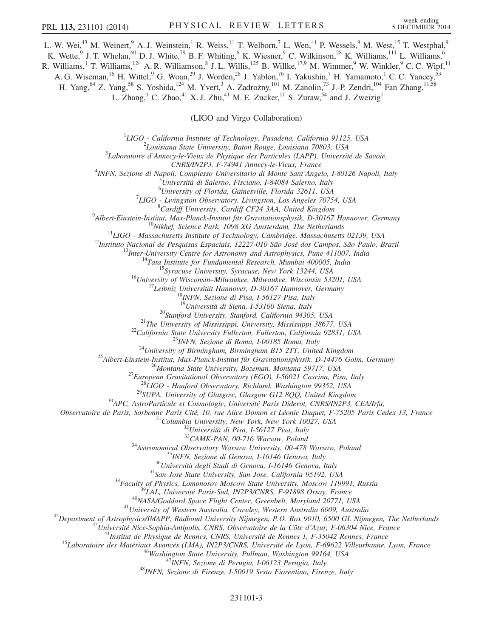L.-W. Wei,<sup>43</sup> M. Weinert,<sup>9</sup> A. J. Weinstein,<sup>1</sup> R. Weiss,<sup>11</sup> T. Welborn,<sup>7</sup> L. Wen,<sup>41</sup> P. Wessels,<sup>9</sup> M. West,<sup>15</sup> T. Westphal,<sup>9</sup> K. Wette, <sup>9</sup> J. T. Whelan, <sup>60</sup> D. J. White, <sup>79</sup> B. F. Whiting, <sup>6</sup> K. Wiesner, <sup>9</sup> C. Wilkinson, <sup>28</sup> K. Williams, <sup>111</sup> L. Williams, <sup>6</sup> R. Williams,<sup>1</sup> T. Williams,<sup>124</sup> A. R. Williamson,<sup>8</sup> J. L. Willis,<sup>125</sup> B. Willke,<sup>17,9</sup> M. Wimmer,<sup>9</sup> W. Winkler,<sup>9</sup> C. C. Wipf,<sup>11</sup>

A. G. Wiseman, <sup>16</sup> H. Wittel, <sup>9</sup> G. Woan, <sup>29</sup> J. Worden, <sup>28</sup> J. Yablon, <sup>76</sup> I. Yakushin, <sup>7</sup> H. Yamamoto, <sup>1</sup> C. C. Yancey, <sup>53</sup>

H. Yang, <sup>64</sup> Z. Yang, <sup>58</sup> S. Yoshida, <sup>124</sup> M. Yvert, <sup>3</sup> A. Zadrożny, <sup>101</sup> M. Zanolin, <sup>73</sup> J.-P. Zendri, <sup>104</sup> Fan Zhang, <sup>11,58</sup>

L. Zhang,<sup>1</sup> C. Zhao,<sup>41</sup> X. J. Zhu,<sup>41</sup> M. E. Zucker,<sup>11</sup> S. Zuraw,<sup>54</sup> and J. Zweizig<sup>1</sup>

(LIGO and Virgo Collaboration)

<sup>1</sup>LIGO - California Institute of Technology, Pasadena, California 91125, USA<br><sup>2</sup>Laujsiana State University, Paten Pauge, Laujsiana 70803, USA

 $2$ Louisiana State University, Baton Rouge, Louisiana 70803, USA

 $3$ Laboratoire d'Annecy-le-Vieux de Physique des Particules (LAPP), Université de Savoie,

CNRS/IN2P3, F-74941 Annecy-le-Vieux, France<br><sup>4</sup>INEN, Sezione di Napoli, Complesso Universitario di Monte Sant'Ange

INFN, Sezione di Napoli, Complesso Universitario di Monte Sant'Angelo, I-80126 Napoli, Italy<br><sup>5</sup>Llniversità di Salarno, Fisciano, I 84084 Salarno, Italy

Università di Salerno, Fisciano, I-84084 Salerno, Italy

<sup>6</sup> University of Florida, Gainesville, Florida 32611, USA<br><sup>7</sup> UCO - Livingston Observatory, Livingston, Les Angeles 7075

<sup>7</sup>LIGO - Livingston Observatory, Livingston, Los Angeles 70754, USA  ${}^{8}$ Cardiff University, Cardiff CF24 3AA, United Kingdom

 $^{9}$ Albert-Einstein-Institut, Max-Planck-Institut für Gravitationsphysik, D-30167 Hannover, Germany

<sup>10</sup>Nikhef, Science Park, 1098 XG Amsterdam, The Netherlands<br><sup>11</sup>LIGO - Massachusetts Institute of Technology, Cambridge, Massachusetts 02139, USA<br><sup>12</sup>Instituto Nacional de Pesquisas Espaciais, 12227-010 São José dos Camp

<sup>19</sup>Università di Siena, 1-53100 Siena, Italy<br><sup>20</sup>Stanford University, Stanford, California 94305, USA<br><sup>21</sup>The University of Mississippi, University, Mississippi 38677, USA<br><sup>22</sup>California State University Fullerton, Fulle

Observatoire de Paris, Sorbonne Paris Cité, 10, rue Alice Domon et Léonie Duquet, F-75205 Paris Cedex 13, France  $^{31}$ Columbia University, New York, New York 10027, USA  $^{32}$ Università di Pisa, I-56127 Pisa, Italy  $^{33}$ 

 $\begin{array}{r} \begin{array}{c} \text{33-}\text{CAMK-PAN},\text{ }00-716\text{ Warsaw},\text{ Poland} \\ \text{34-}\text{Astronomical Observatory}\text{ Warsaw},\text{ }00-478\text{ Warsaw},\text{ Poland} \\ \text{35/}\text{INFN},\text{ Section all Genova},\text{ }116146\text{ Genova},\text{ Italy} \\ \text{36-}\text{University},\text{ }8\text{echow},\text{ }1614\text{ Genova},\text{ }16146\text{ Genova},\text{ Italy} \\ \text{37-}\text{San Jose State University},\text{ San Jose, California 95192},$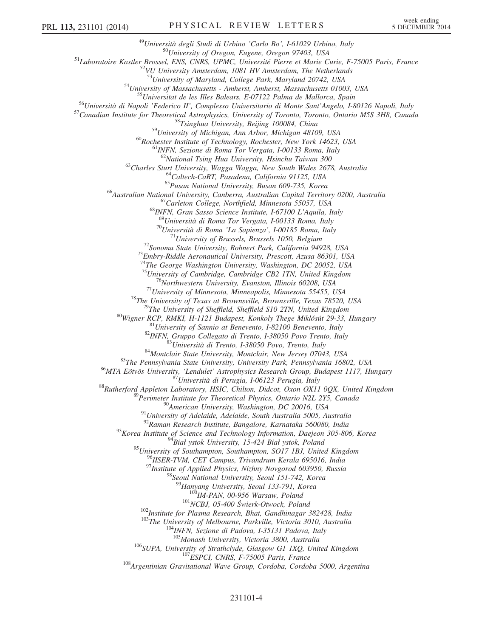<sup>49</sup>Università degli Studi di Urbino 'Carlo Bo', I-61029 Urbino, Italy<br><sup>50</sup>University of Oregon, Eugene, Oregon 97403, USA<br><sup>51</sup>Laboratoire Kastler Brossel, ENS, CNRS, UPMC, Université Pierre et Marie Curie, F-75005 Paris, <sup>54</sup>University of Massachusetts - Amherst, Amherst, Massachusetts 01003, USA<br><sup>55</sup>Universitat de les Illes Balears, E-07122 Palma de Mallorca, Spain<br><sup>56</sup>Università di Napoli 'Federico II', Complesso Universitario di Monte <sup>60</sup>Rochester Institute of Technology, Rochester, New York 14623, USA <sup>61</sup>INFN, Sezione di Roma Tor Vergata, I-00133 Roma, Italy <sup>62</sup>National Tsing Hua University, Hsinchu Taiwan 300 <sup>63</sup>Charles Sturt University, Wagga Wagga, New South Wales 2678, Australia<br><sup>64</sup>Caltech-CaRT, Pasadena, California 91125, USA<br><sup>65</sup>Pusan National University, Busan 609-735, Korea<br><sup>66</sup>Australian National University, Canberra <sup>70</sup>Università di Roma 'La Sapienza', I-00185 Roma, Italy<br><sup>71</sup>University of Brussels, Brussels 1050, Belgium<br><sup>72</sup>Sonoma State University, Rohnert Park, California 94928, USA<br><sup>73</sup>Embry-Riddle Aeronautical University, Presc <sup>74</sup>The George Washington University, Washington, DC 20052, USA  $^{75}$ University of Cambridge, Cambridge CB2 1TN, United Kingdom <sup>75</sup>University of Cambridge, Cambridge CB2 ITN, United Kingdom<br><sup>76</sup>Northwestern University, Evanston, Illinois 60208, USA<br><sup>77</sup>University of Minnesota, Minneapolis, Minnesota 55455, USA<br><sup>78</sup>The University of Sheffield, She <sup>91</sup>University of Adelaide, Adelaide, South Australia 5005, Australia<br><sup>92</sup>Raman Research Institute, Bangalore, Karnataka 560080, India<br><sup>93</sup>Korea Institute of Science and Technology Information, Daejeon 305-806, Korea<br><sup>94</sup> <sup>95</sup>University of Southampton, Southampton, SO17 1BJ, United Kingdom<br><sup>96</sup>IISER-TVM, CET Campus, Trivandrum Kerala 695016, India <sup>97</sup>Institute of Applied Physics, Nizhny Novgorod 603950, Russia <sup>98</sup>Seoul National University, Seoul 151-742, Korea <sup>99</sup>Hanyang University, Seoul 133-791, Korea<br><sup>100</sup>IM-PAN, 00-956 Warsaw, Poland<br><sup>101</sup>NCBJ, 05-400 Świerk-Otwock, Poland<br><sup>102</sup>Institute for Plasma Research, Bhat, Gandhinagar 382428, India<br><sup>103</sup>The University of Melbourne, <sup>106</sup>SUPA, University of Strathclyde, Glasgow G1 1XQ, United Kingdom<br><sup>107</sup>ESPCI, CNRS, F-75005 Paris, France<br><sup>108</sup>Argentinian Gravitational Wave Group, Cordoba, Cordoba 5000, Argentina

## 231101-4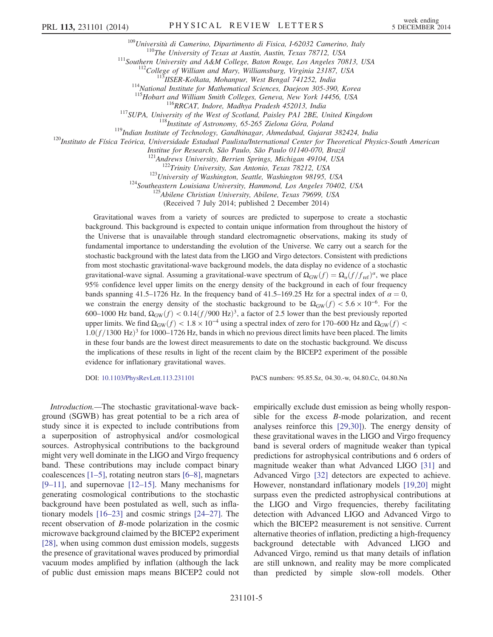<sup>109</sup>Università di Camerino, Dipartimento di Fisica, 1-62032 Camerino, Italy<br><sup>110</sup>The University of Texas at Austin, Austin, Texas 78712, USA<br><sup>111</sup>Southern University and A&M College, Baton Rouge, Los Angeles 70813, USA<br><sup></sup>

<sup>117</sup>SUPA, University of the West of Scotland, Paisley PA1 2BE, United Kingdom<br><sup>117</sup>SUPA, University of the West of Scotland, Paisley PA1 2BE, United Kingdom<br><sup>118</sup>Institute of Astronomy, 65-265 Zielona Góra, Poland<br><sup>119</sup>I

Institue for Research, São Paulo, São Paulo 01140-070, Brazil

<sup>122</sup>Trinity University, San Antonio, Texas 78212, USA<br><sup>123</sup>University of Washington, Seattle, Washington 98195, USA<br><sup>124</sup>Southeastern Louisiana University, Hammond, Los Angeles 70402, USA<br><sup>125</sup>Abilene Christian Universit

(Received 7 July 2014; published 2 December 2014)

Gravitational waves from a variety of sources are predicted to superpose to create a stochastic background. This background is expected to contain unique information from throughout the history of the Universe that is unavailable through standard electromagnetic observations, making its study of fundamental importance to understanding the evolution of the Universe. We carry out a search for the stochastic background with the latest data from the LIGO and Virgo detectors. Consistent with predictions from most stochastic gravitational-wave background models, the data display no evidence of a stochastic gravitational-wave signal. Assuming a gravitational-wave spectrum of  $\Omega_{GW}(f) = \Omega_a(f/f_{ref})^\alpha$ , we place 95% confidence level upper limits on the energy density of the background in each of four frequency bands spanning 41.5–1726 Hz. In the frequency band of 41.5–169.25 Hz for a spectral index of  $\alpha = 0$ , we constrain the energy density of the stochastic background to be  $\Omega_{GW}(f) < 5.6 \times 10^{-6}$ . For the 600–1000 Hz band,  $\Omega_{\rm GW}(f) < 0.14 \left(\frac{f}{900 \text{ Hz}}\right)^3$ , a factor of 2.5 lower than the best previously reported upper limits. We find  $\Omega_{GW}(f) < 1.8 \times 10^{-4}$  using a spectral index of zero for 170–600 Hz and  $\Omega_{GW}(f)$  <  $1.0(f/1300 \text{ Hz})^3$  for 1000–1726 Hz, bands in which no previous direct limits have been placed. The limits in these four bands are the lowest direct measurements to date on the stochastic background. We discuss the implications of these results in light of the recent claim by the BICEP2 experiment of the possible evidence for inflationary gravitational waves.

DOI: [10.1103/PhysRevLett.113.231101](http://dx.doi.org/10.1103/PhysRevLett.113.231101) PACS numbers: 95.85.Sz, 04.30.-w, 04.80.Cc, 04.80.Nn

Introduction.—The stochastic gravitational-wave background (SGWB) has great potential to be a rich area of study since it is expected to include contributions from a superposition of astrophysical and/or cosmological sources. Astrophysical contributions to the background might very well dominate in the LIGO and Virgo frequency band. These contributions may include compact binary coalescences [1–[5\],](#page-9-1) rotating neutron stars [6–[8\]](#page-9-2), magnetars  $[9-11]$ , and supernovae  $[12-15]$  $[12-15]$ . Many mechanisms for generating cosmological contributions to the stochastic background have been postulated as well, such as inflationary models [16–[23\]](#page-9-5) and cosmic strings [\[24](#page-9-6)–27]. The recent observation of B-mode polarization in the cosmic microwave background claimed by the BICEP2 experiment [\[28\]](#page-9-7), when using common dust emission models, suggests the presence of gravitational waves produced by primordial vacuum modes amplified by inflation (although the lack of public dust emission maps means BICEP2 could not

empirically exclude dust emission as being wholly responsible for the excess B-mode polarization, and recent analyses reinforce this [\[29,30\]](#page-9-8)). The energy density of these gravitational waves in the LIGO and Virgo frequency band is several orders of magnitude weaker than typical predictions for astrophysical contributions and 6 orders of magnitude weaker than what Advanced LIGO [\[31\]](#page-9-9) and Advanced Virgo [\[32\]](#page-9-10) detectors are expected to achieve. However, nonstandard inflationary models [\[19,20\]](#page-9-11) might surpass even the predicted astrophysical contributions at the LIGO and Virgo frequencies, thereby facilitating detection with Advanced LIGO and Advanced Virgo to which the BICEP2 measurement is not sensitive. Current alternative theories of inflation, predicting a high-frequency background detectable with Advanced LIGO and Advanced Virgo, remind us that many details of inflation are still unknown, and reality may be more complicated than predicted by simple slow-roll models. Other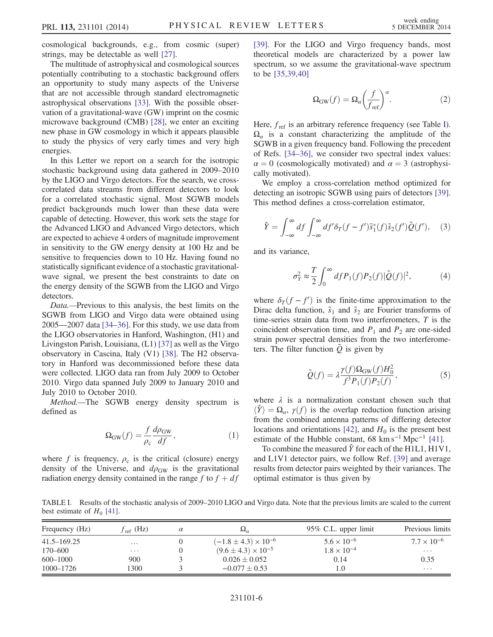cosmological backgrounds, e.g., from cosmic (super) strings, may be detectable as well [\[27\].](#page-9-12)

The multitude of astrophysical and cosmological sources potentially contributing to a stochastic background offers an opportunity to study many aspects of the Universe that are not accessible through standard electromagnetic astrophysical observations [\[33\].](#page-9-13) With the possible observation of a gravitational-wave (GW) imprint on the cosmic microwave background (CMB) [\[28\],](#page-9-7) we enter an exciting new phase in GW cosmology in which it appears plausible to study the physics of very early times and very high energies.

In this Letter we report on a search for the isotropic stochastic background using data gathered in 2009–2010 by the LIGO and Virgo detectors. For the search, we crosscorrelated data streams from different detectors to look for a correlated stochastic signal. Most SGWB models predict backgrounds much lower than these data were capable of detecting. However, this work sets the stage for the Advanced LIGO and Advanced Virgo detectors, which are expected to achieve 4 orders of magnitude improvement in sensitivity to the GW energy density at 100 Hz and be sensitive to frequencies down to 10 Hz. Having found no statistically significant evidence of a stochastic gravitationalwave signal, we present the best constraints to date on the energy density of the SGWB from the LIGO and Virgo detectors.

Data.—Previous to this analysis, the best limits on the SGWB from LIGO and Virgo data were obtained using 2005—2007 data [34–[36\].](#page-9-14) For this study, we use data from the LIGO observatories in Hanford, Washington, (H1) and Livingston Parish, Louisiana, (L1) [\[37\]](#page-9-15) as well as the Virgo observatory in Cascina, Italy (V1) [\[38\].](#page-9-16) The H2 observatory in Hanford was decommissioned before these data were collected. LIGO data ran from July 2009 to October 2010. Virgo data spanned July 2009 to January 2010 and July 2010 to October 2010.

Method.—The SGWB energy density spectrum is defined as

$$
\Omega_{\rm GW}(f) = \frac{f}{\rho_{\rm c}} \frac{d\rho_{\rm GW}}{df}, \qquad (1)
$$

where f is frequency,  $\rho_c$  is the critical (closure) energy density of the Universe, and  $d\rho_{GW}$  is the gravitational radiation energy density contained in the range f to  $f + df$ 

<span id="page-5-2"></span>[\[39\]](#page-9-17). For the LIGO and Virgo frequency bands, most theoretical models are characterized by a power law spectrum, so we assume the gravitational-wave spectrum to be [\[35,39,40\]](#page-9-18)

$$
\Omega_{\text{GW}}(f) = \Omega_a \left(\frac{f}{f_{\text{ref}}}\right)^a.
$$
 (2)

Here,  $f_{ref}$  is an arbitrary reference frequency (see Table [I](#page-5-0)).  $\Omega_{\alpha}$  is a constant characterizing the amplitude of the SGWB in a given frequency band. Following the precedent of Refs. [\[34](#page-9-14)–36], we consider two spectral index values:  $\alpha = 0$  (cosmologically motivated) and  $\alpha = 3$  (astrophysically motivated).

<span id="page-5-1"></span>We employ a cross-correlation method optimized for detecting an isotropic SGWB using pairs of detectors [\[39\]](#page-9-17). This method defines a cross-correlation estimator,

$$
\hat{Y} = \int_{-\infty}^{\infty} df \int_{-\infty}^{\infty} df' \delta_T (f - f') \tilde{s}_1^*(f) \tilde{s}_2(f') \tilde{Q}(f'), \quad (3)
$$

and its variance,

$$
\sigma_Y^2 \approx \frac{T}{2} \int_0^\infty df P_1(f) P_2(f) |\tilde{Q}(f)|^2,\tag{4}
$$

where  $\delta_T(f - f')$  is the finite-time approximation to the Dirac delta function,  $\tilde{s}_1$  and  $\tilde{s}_2$  are Fourier transforms of time-series strain data from two interferometers, T is the coincident observation time, and  $P_1$  and  $P_2$  are one-sided strain power spectral densities from the two interferometers. The filter function  $\tilde{Q}$  is given by

$$
\tilde{Q}(f) = \lambda \frac{\gamma(f)\Omega_{\text{GW}}(f)H_0^2}{f^3 P_1(f)P_2(f)},\tag{5}
$$

where  $\lambda$  is a normalization constant chosen such that  $\langle \hat{Y} \rangle = \Omega_{\alpha}$ ,  $\gamma(f)$  is the overlap reduction function arising from the combined antenna patterns of differing detector locations and orientations [\[42\],](#page-9-19) and  $H_0$  is the present best estimate of the Hubble constant, 68 km s<sup>-1</sup> Mpc<sup>-1</sup> [\[41\]](#page-9-20).

To combine the measured  $\hat{Y}$  for each of the H1L1, H1V1, and L1V1 detector pairs, we follow Ref. [\[39\]](#page-9-17) and average results from detector pairs weighted by their variances. The optimal estimator is thus given by

<span id="page-5-0"></span>TABLE I. Results of the stochastic analysis of 2009–2010 LIGO and Virgo data. Note that the previous limits are scaled to the current best estimate of  $H_0$  [\[41\].](#page-9-20)

| Frequency (Hz) | $f_{ref}$ (Hz)    | $\alpha$ | $\Omega_{\alpha}$               | $95\%$ C.L. upper limit | Previous limits      |
|----------------|-------------------|----------|---------------------------------|-------------------------|----------------------|
| 41.5–169.25    | $\cdot\cdot\cdot$ |          | $(-1.8 \pm 4.3) \times 10^{-6}$ | $5.6 \times 10^{-6}$    | $7.7 \times 10^{-6}$ |
| 170–600        | $\cdots$          |          | $(9.6 \pm 4.3) \times 10^{-5}$  | $1.8 \times 10^{-4}$    | $\cdots$             |
| $600 - 1000$   | 900               |          | $0.026 \pm 0.052$               | 0.14                    | 0.35                 |
| 1000-1726      | 1300              |          | $-0.077 + 0.53$                 | 1.0                     | $\cdots$             |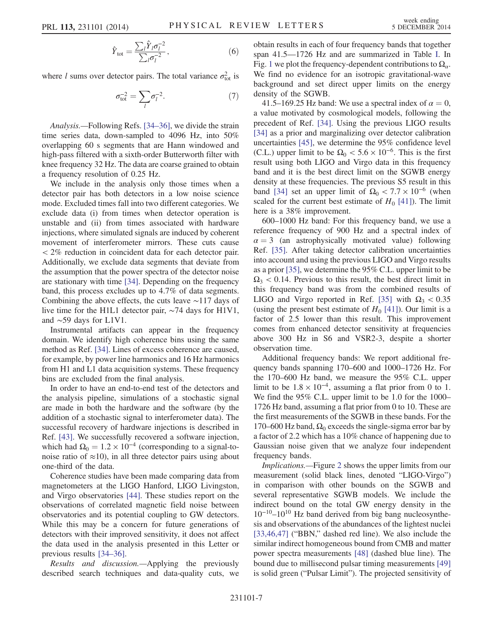$$
\hat{Y}_{\text{tot}} = \frac{\sum_{l} \hat{Y}_{l} \sigma_{l}^{-2}}{\sum_{l} \sigma_{l}^{-2}},\tag{6}
$$

where *l* sums over detector pairs. The total variance  $\sigma_{\text{tot}}^2$  is

$$
\sigma_{\text{tot}}^{-2} = \sum_{l} \sigma_l^{-2}.
$$
 (7)

Analysis.—Following Refs. [\[34](#page-9-14)–36], we divide the strain time series data, down-sampled to 4096 Hz, into 50% overlapping 60 s segments that are Hann windowed and high-pass filtered with a sixth-order Butterworth filter with knee frequency 32 Hz. The data are coarse grained to obtain a frequency resolution of 0.25 Hz.

We include in the analysis only those times when a detector pair has both detectors in a low noise science mode. Excluded times fall into two different categories. We exclude data (i) from times when detector operation is unstable and (ii) from times associated with hardware injections, where simulated signals are induced by coherent movement of interferometer mirrors. These cuts cause < 2% reduction in coincident data for each detector pair. Additionally, we exclude data segments that deviate from the assumption that the power spectra of the detector noise are stationary with time [\[34\].](#page-9-14) Depending on the frequency band, this process excludes up to 4.7% of data segments. Combining the above effects, the cuts leave ∼117 days of live time for the H1L1 detector pair, ∼74 days for H1V1, and ∼59 days for L1V1.

Instrumental artifacts can appear in the frequency domain. We identify high coherence bins using the same method as Ref. [\[34\].](#page-9-14) Lines of excess coherence are caused, for example, by power line harmonics and 16 Hz harmonics from H1 and L1 data acquisition systems. These frequency bins are excluded from the final analysis.

In order to have an end-to-end test of the detectors and the analysis pipeline, simulations of a stochastic signal are made in both the hardware and the software (by the addition of a stochastic signal to interferometer data). The successful recovery of hardware injections is described in Ref. [\[43\]](#page-9-21). We successfully recovered a software injection, which had  $\Omega_0 = 1.2 \times 10^{-4}$  (corresponding to a signal-tonoise ratio of  $\approx$ 10), in all three detector pairs using about one-third of the data.

Coherence studies have been made comparing data from magnetometers at the LIGO Hanford, LIGO Livingston, and Virgo observatories [\[44\]](#page-9-22). These studies report on the observations of correlated magnetic field noise between observatories and its potential coupling to GW detectors. While this may be a concern for future generations of detectors with their improved sensitivity, it does not affect the data used in the analysis presented in this Letter or previous results [34–[36\].](#page-9-14)

Results and discussion.—Applying the previously described search techniques and data-quality cuts, we obtain results in each of four frequency bands that together span 41.5—1726 Hz and are summarized in Table [I](#page-5-0). In Fig. [1](#page-7-0) we plot the frequency-dependent contributions to  $\Omega_{\alpha}$ . We find no evidence for an isotropic gravitational-wave background and set direct upper limits on the energy density of the SGWB.

41.5–169.25 Hz band: We use a spectral index of  $\alpha = 0$ , a value motivated by cosmological models, following the precedent of Ref. [\[34\]](#page-9-14). Using the previous LIGO results [\[34\]](#page-9-14) as a prior and marginalizing over detector calibration uncertainties [\[45\]](#page-9-23), we determine the 95% confidence level (C.L.) upper limit to be  $\Omega_0 < 5.6 \times 10^{-6}$ . This is the first result using both LIGO and Virgo data in this frequency band and it is the best direct limit on the SGWB energy density at these frequencies. The previous S5 result in this band [\[34\]](#page-9-14) set an upper limit of  $\Omega_0 < 7.7 \times 10^{-6}$  (when scaled for the current best estimate of  $H_0$  [\[41\]\)](#page-9-20). The limit here is a 38% improvement.

600–1000 Hz band: For this frequency band, we use a reference frequency of 900 Hz and a spectral index of  $\alpha = 3$  (an astrophysically motivated value) following Ref. [\[35\].](#page-9-18) After taking detector calibration uncertainties into account and using the previous LIGO and Virgo results as a prior [\[35\]](#page-9-18), we determine the 95% C.L. upper limit to be  $\Omega_3$  < 0.14. Previous to this result, the best direct limit in this frequency band was from the combined results of LIGO and Virgo reported in Ref. [\[35\]](#page-9-18) with  $\Omega_3 < 0.35$ (using the present best estimate of  $H_0$  [\[41\]\)](#page-9-20). Our limit is a factor of 2.5 lower than this result. This improvement comes from enhanced detector sensitivity at frequencies above 300 Hz in S6 and VSR2-3, despite a shorter observation time.

Additional frequency bands: We report additional frequency bands spanning 170–600 and 1000–1726 Hz. For the 170–600 Hz band, we measure the 95% C.L. upper limit to be  $1.8 \times 10^{-4}$ , assuming a flat prior from 0 to 1. We find the 95% C.L. upper limit to be 1.0 for the 1000– 1726 Hz band, assuming a flat prior from 0 to 10. These are the first measurements of the SGWB in these bands. For the 170–600 Hz band,  $\Omega_0$  exceeds the single-sigma error bar by a factor of 2.2 which has a 10% chance of happening due to Gaussian noise given that we analyze four independent frequency bands.

Implications.—Figure [2](#page-8-0) shows the upper limits from our measurement (solid black lines, denoted "LIGO-Virgo") in comparison with other bounds on the SGWB and several representative SGWB models. We include the indirect bound on the total GW energy density in the 10<sup>-10</sup>-10<sup>10</sup> Hz band derived from big bang nucleosynthesis and observations of the abundances of the lightest nuclei [\[33,46,47\]](#page-9-13) ("BBN," dashed red line). We also include the similar indirect homogeneous bound from CMB and matter power spectra measurements [\[48\]](#page-9-24) (dashed blue line). The bound due to millisecond pulsar timing measurements [\[49\]](#page-9-25) is solid green ("Pulsar Limit"). The projected sensitivity of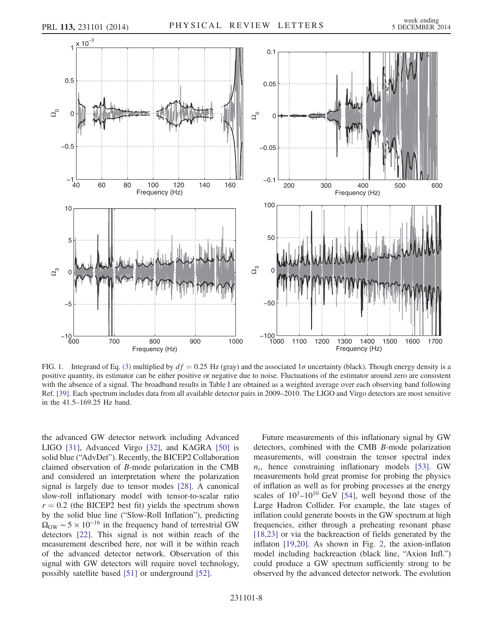<span id="page-7-0"></span>

FIG. 1. Integrand of Eq. [\(3\)](#page-5-1) multiplied by  $df = 0.25$  Hz (gray) and the associated  $1\sigma$  uncertainty (black). Though energy density is a positive quantity, its estimator can be either positive or negative due to noise. Fluctuations of the estimator around zero are consistent with the absence of a signal. The broadband results in Table [I](#page-5-0) are obtained as a weighted average over each observing band following Ref. [\[39\].](#page-9-17) Each spectrum includes data from all available detector pairs in 2009–2010. The LIGO and Virgo detectors are most sensitive in the 41.5–169.25 Hz band.

the advanced GW detector network including Advanced LIGO [\[31\],](#page-9-9) Advanced Virgo [\[32\],](#page-9-10) and KAGRA [\[50\]](#page-9-26) is solid blue ("AdvDet"). Recently, the BICEP2 Collaboration claimed observation of B-mode polarization in the CMB and considered an interpretation where the polarization signal is largely due to tensor modes [\[28\].](#page-9-7) A canonical slow-roll inflationary model with tensor-to-scalar ratio  $r = 0.2$  (the BICEP2 best fit) yields the spectrum shown by the solid blue line ("Slow-Roll Inflation"), predicting  $\Omega_{\rm GW} \sim 5 \times 10^{-16}$  in the frequency band of terrestrial GW detectors [\[22\].](#page-9-27) This signal is not within reach of the measurement described here, nor will it be within reach of the advanced detector network. Observation of this signal with GW detectors will require novel technology, possibly satellite based [\[51\]](#page-9-28) or underground [\[52\].](#page-9-29)

Future measurements of this inflationary signal by GW detectors, combined with the CMB B-mode polarization measurements, will constrain the tensor spectral index  $n_t$ , hence constraining inflationary models [\[53\].](#page-9-30) GW measurements hold great promise for probing the physics of inflation as well as for probing processes at the energy scales of  $10^3$ - $10^{10}$  GeV [\[54\]](#page-9-31), well beyond those of the Large Hadron Collider. For example, the late stages of inflation could generate boosts in the GW spectrum at high frequencies, either through a preheating resonant phase [\[18,23\]](#page-9-32) or via the backreaction of fields generated by the inflaton [\[19,20\]](#page-9-11). As shown in Fig. [2,](#page-8-0) the axion-inflaton model including backreaction (black line, "Axion Infl.") could produce a GW spectrum sufficiently strong to be observed by the advanced detector network. The evolution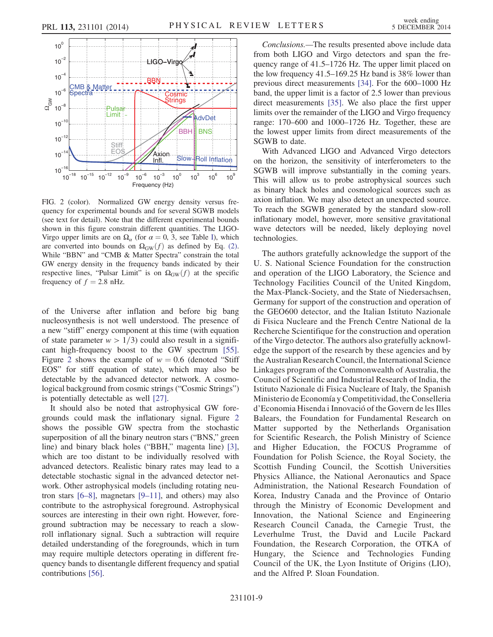<span id="page-8-0"></span>

FIG. 2 (color). Normalized GW energy density versus frequency for experimental bounds and for several SGWB models (see text for detail). Note that the different experimental bounds shown in this figure constrain different quantities. The LIGO-Virgo upper limits are on  $\Omega_{\alpha}$  (for  $\alpha = 0, 3$ , see Table [I](#page-5-0)), which are converted into bounds on  $\Omega_{GW}(f)$  as defined by Eq. [\(2\).](#page-5-2) While "BBN" and "CMB & Matter Spectra" constrain the total GW energy density in the frequency bands indicated by their respective lines, "Pulsar Limit" is on  $\Omega_{\rm GW}(f)$  at the specific frequency of  $f = 2.8$  nHz.

of the Universe after inflation and before big bang nucleosynthesis is not well understood. The presence of a new "stiff" energy component at this time (with equation of state parameter  $w > 1/3$ ) could also result in a significant high-frequency boost to the GW spectrum [\[55\]](#page-9-33). Figure [2](#page-8-0) shows the example of  $w = 0.6$  (denoted "Stiff EOS" for stiff equation of state), which may also be detectable by the advanced detector network. A cosmological background from cosmic strings ("Cosmic Strings") is potentially detectable as well [\[27\]](#page-9-12).

It should also be noted that astrophysical GW foregrounds could mask the inflationary signal. Figure [2](#page-8-0) shows the possible GW spectra from the stochastic superposition of all the binary neutron stars ("BNS," green line) and binary black holes ("BBH," magenta line) [\[3\]](#page-9-34), which are too distant to be individually resolved with advanced detectors. Realistic binary rates may lead to a detectable stochastic signal in the advanced detector network. Other astrophysical models (including rotating neutron stars  $[6-8]$  $[6-8]$ , magnetars  $[9-11]$ , and others) may also contribute to the astrophysical foreground. Astrophysical sources are interesting in their own right. However, foreground subtraction may be necessary to reach a slowroll inflationary signal. Such a subtraction will require detailed understanding of the foregrounds, which in turn may require multiple detectors operating in different frequency bands to disentangle different frequency and spatial contributions [\[56\]](#page-9-35).

Conclusions.—The results presented above include data from both LIGO and Virgo detectors and span the frequency range of 41.5–1726 Hz. The upper limit placed on the low frequency 41.5–169.25 Hz band is 38% lower than previous direct measurements [\[34\].](#page-9-14) For the 600–1000 Hz band, the upper limit is a factor of 2.5 lower than previous direct measurements [\[35\]](#page-9-18). We also place the first upper limits over the remainder of the LIGO and Virgo frequency range: 170–600 and 1000–1726 Hz. Together, these are the lowest upper limits from direct measurements of the SGWB to date.

With Advanced LIGO and Advanced Virgo detectors on the horizon, the sensitivity of interferometers to the SGWB will improve substantially in the coming years. This will allow us to probe astrophysical sources such as binary black holes and cosmological sources such as axion inflation. We may also detect an unexpected source. To reach the SGWB generated by the standard slow-roll inflationary model, however, more sensitive gravitational wave detectors will be needed, likely deploying novel technologies.

The authors gratefully acknowledge the support of the U. S. National Science Foundation for the construction and operation of the LIGO Laboratory, the Science and Technology Facilities Council of the United Kingdom, the Max-Planck-Society, and the State of Niedersachsen, Germany for support of the construction and operation of the GEO600 detector, and the Italian Istituto Nazionale di Fisica Nucleare and the French Centre National de la Recherche Scientifique for the construction and operation of the Virgo detector. The authors also gratefully acknowledge the support of the research by these agencies and by the Australian Research Council, the International Science Linkages program of the Commonwealth of Australia, the Council of Scientific and Industrial Research of India, the Istituto Nazionale di Fisica Nucleare of Italy, the Spanish Ministerio de Economía y Competitividad, the Conselleria d'Economia Hisenda i Innovació of the Govern de les Illes Balears, the Foundation for Fundamental Research on Matter supported by the Netherlands Organisation for Scientific Research, the Polish Ministry of Science and Higher Education, the FOCUS Programme of Foundation for Polish Science, the Royal Society, the Scottish Funding Council, the Scottish Universities Physics Alliance, the National Aeronautics and Space Administration, the National Research Foundation of Korea, Industry Canada and the Province of Ontario through the Ministry of Economic Development and Innovation, the National Science and Engineering Research Council Canada, the Carnegie Trust, the Leverhulme Trust, the David and Lucile Packard Foundation, the Research Corporation, the OTKA of Hungary, the Science and Technologies Funding Council of the UK, the Lyon Institute of Origins (LIO), and the Alfred P. Sloan Foundation.